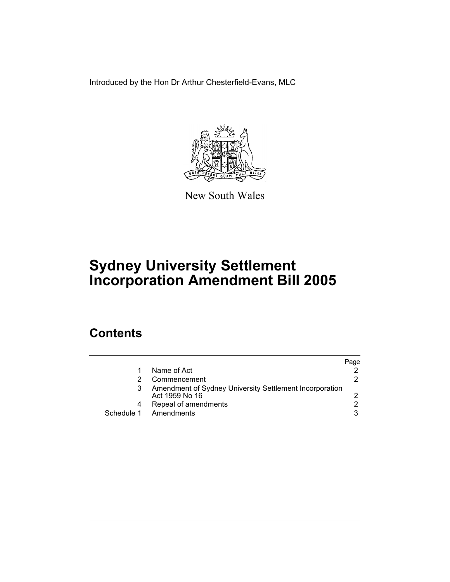Introduced by the Hon Dr Arthur Chesterfield-Evans, MLC



New South Wales

# **Sydney University Settlement Incorporation Amendment Bill 2005**

## **Contents**

|            |                                                                           | Page |
|------------|---------------------------------------------------------------------------|------|
|            | Name of Act                                                               |      |
|            | Commencement                                                              |      |
|            | Amendment of Sydney University Settlement Incorporation<br>Act 1959 No 16 |      |
| 4          | Repeal of amendments                                                      |      |
| Schedule 1 | Amendments                                                                |      |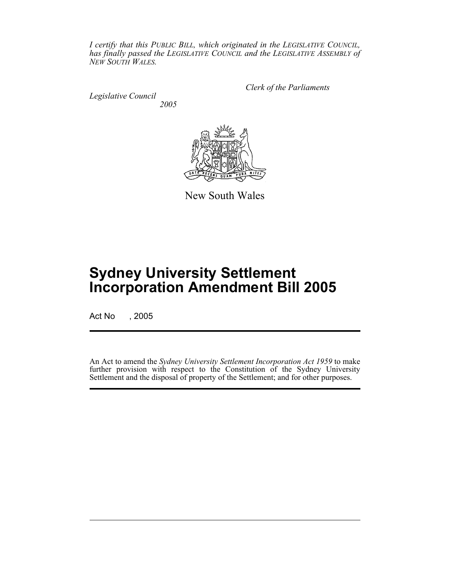*I certify that this PUBLIC BILL, which originated in the LEGISLATIVE COUNCIL, has finally passed the LEGISLATIVE COUNCIL and the LEGISLATIVE ASSEMBLY of NEW SOUTH WALES.*

*Legislative Council*

*Clerk of the Parliaments*

*2005*



New South Wales

## **Sydney University Settlement Incorporation Amendment Bill 2005**

Act No , 2005

An Act to amend the *Sydney University Settlement Incorporation Act 1959* to make further provision with respect to the Constitution of the Sydney University Settlement and the disposal of property of the Settlement; and for other purposes.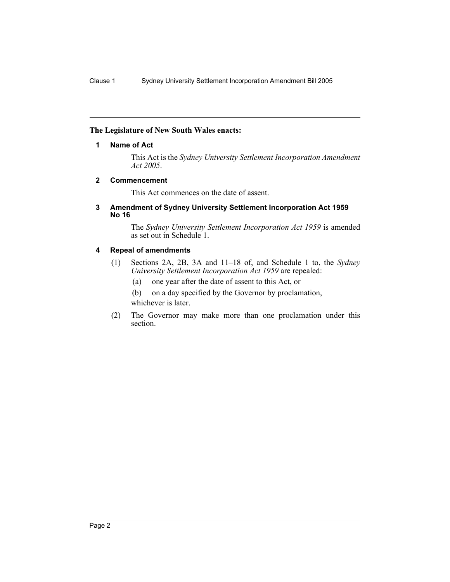#### **The Legislature of New South Wales enacts:**

#### **1 Name of Act**

This Act is the *Sydney University Settlement Incorporation Amendment Act 2005*.

#### **2 Commencement**

This Act commences on the date of assent.

#### **3 Amendment of Sydney University Settlement Incorporation Act 1959 No 16**

The *Sydney University Settlement Incorporation Act 1959* is amended as set out in Schedule 1.

#### **4 Repeal of amendments**

- (1) Sections 2A, 2B, 3A and 11–18 of, and Schedule 1 to, the *Sydney University Settlement Incorporation Act 1959* are repealed:
	- (a) one year after the date of assent to this Act, or
	- (b) on a day specified by the Governor by proclamation, whichever is later.
- (2) The Governor may make more than one proclamation under this section.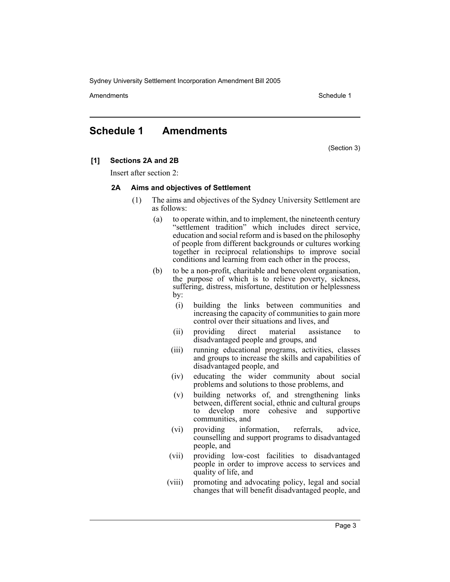Amendments **Schedule 1** and the set of the set of the set of the set of the set of the set of the set of the set of the set of the set of the set of the set of the set of the set of the set of the set of the set of the set

### **Schedule 1 Amendments**

(Section 3)

#### **[1] Sections 2A and 2B**

Insert after section 2:

#### **2A Aims and objectives of Settlement**

- (1) The aims and objectives of the Sydney University Settlement are as follows:
	- (a) to operate within, and to implement, the nineteenth century "settlement tradition" which includes direct service, education and social reform and is based on the philosophy of people from different backgrounds or cultures working together in reciprocal relationships to improve social conditions and learning from each other in the process,
	- (b) to be a non-profit, charitable and benevolent organisation, the purpose of which is to relieve poverty, sickness, suffering, distress, misfortune, destitution or helplessness by:
		- (i) building the links between communities and increasing the capacity of communities to gain more control over their situations and lives, and
		- (ii) providing direct material assistance to disadvantaged people and groups, and
		- (iii) running educational programs, activities, classes and groups to increase the skills and capabilities of disadvantaged people, and
		- (iv) educating the wider community about social problems and solutions to those problems, and
		- (v) building networks of, and strengthening links between, different social, ethnic and cultural groups to develop more cohesive and supportive communities, and
		- (vi) providing information, referrals, advice, counselling and support programs to disadvantaged people, and
		- (vii) providing low-cost facilities to disadvantaged people in order to improve access to services and quality of life, and
		- (viii) promoting and advocating policy, legal and social changes that will benefit disadvantaged people, and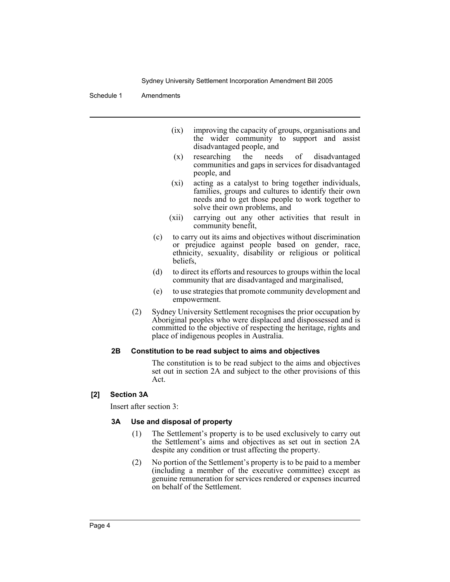Schedule 1 Amendments

- (ix) improving the capacity of groups, organisations and the wider community to support and assist disadvantaged people, and
- (x) researching the needs of disadvantaged communities and gaps in services for disadvantaged people, and
- (xi) acting as a catalyst to bring together individuals, families, groups and cultures to identify their own needs and to get those people to work together to solve their own problems, and
- (xii) carrying out any other activities that result in community benefit,
- (c) to carry out its aims and objectives without discrimination or prejudice against people based on gender, race, ethnicity, sexuality, disability or religious or political beliefs,
- (d) to direct its efforts and resources to groups within the local community that are disadvantaged and marginalised,
- (e) to use strategies that promote community development and empowerment.
- (2) Sydney University Settlement recognises the prior occupation by Aboriginal peoples who were displaced and dispossessed and is committed to the objective of respecting the heritage, rights and place of indigenous peoples in Australia.

#### **2B Constitution to be read subject to aims and objectives**

The constitution is to be read subject to the aims and objectives set out in section 2A and subject to the other provisions of this Act.

#### **[2] Section 3A**

Insert after section 3:

#### **3A Use and disposal of property**

- (1) The Settlement's property is to be used exclusively to carry out the Settlement's aims and objectives as set out in section 2A despite any condition or trust affecting the property.
- (2) No portion of the Settlement's property is to be paid to a member (including a member of the executive committee) except as genuine remuneration for services rendered or expenses incurred on behalf of the Settlement.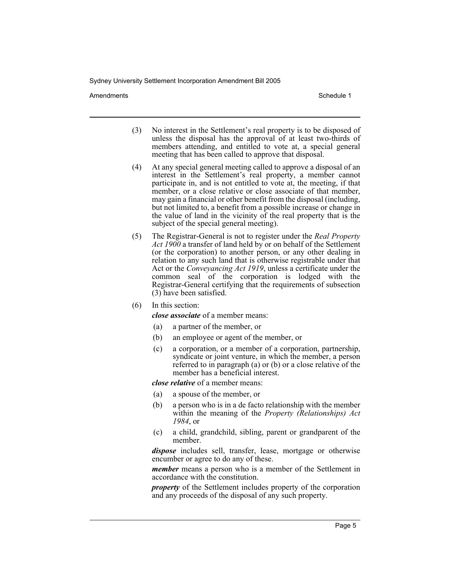Amendments **Schedule 1** and the set of the set of the set of the set of the set of the set of the set of the set of the set of the set of the set of the set of the set of the set of the set of the set of the set of the set

- (3) No interest in the Settlement's real property is to be disposed of unless the disposal has the approval of at least two-thirds of members attending, and entitled to vote at, a special general meeting that has been called to approve that disposal.
- (4) At any special general meeting called to approve a disposal of an interest in the Settlement's real property, a member cannot participate in, and is not entitled to vote at, the meeting, if that member, or a close relative or close associate of that member, may gain a financial or other benefit from the disposal (including, but not limited to, a benefit from a possible increase or change in the value of land in the vicinity of the real property that is the subject of the special general meeting).
- (5) The Registrar-General is not to register under the *Real Property Act 1900* a transfer of land held by or on behalf of the Settlement (or the corporation) to another person, or any other dealing in relation to any such land that is otherwise registrable under that Act or the *Conveyancing Act 1919*, unless a certificate under the common seal of the corporation is lodged with the Registrar-General certifying that the requirements of subsection (3) have been satisfied.
- (6) In this section:

*close associate* of a member means:

- (a) a partner of the member, or
- (b) an employee or agent of the member, or
- (c) a corporation, or a member of a corporation, partnership, syndicate or joint venture, in which the member, a person referred to in paragraph (a) or (b) or a close relative of the member has a beneficial interest.

*close relative* of a member means:

- (a) a spouse of the member, or
- (b) a person who is in a de facto relationship with the member within the meaning of the *Property (Relationships) Act 1984*, or
- (c) a child, grandchild, sibling, parent or grandparent of the member.

*dispose* includes sell, transfer, lease, mortgage or otherwise encumber or agree to do any of these.

*member* means a person who is a member of the Settlement in accordance with the constitution.

*property* of the Settlement includes property of the corporation and any proceeds of the disposal of any such property.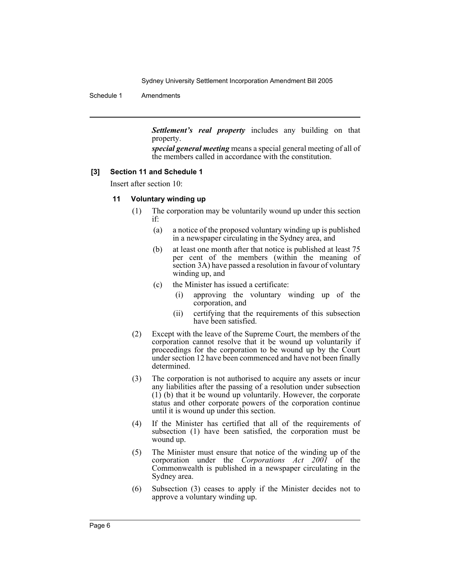Schedule 1 Amendments

*Settlement's real property* includes any building on that property.

*special general meeting* means a special general meeting of all of the members called in accordance with the constitution.

#### **[3] Section 11 and Schedule 1**

Insert after section 10:

#### **11 Voluntary winding up**

- (1) The corporation may be voluntarily wound up under this section if:
	- (a) a notice of the proposed voluntary winding up is published in a newspaper circulating in the Sydney area, and
	- (b) at least one month after that notice is published at least 75 per cent of the members (within the meaning of section 3A) have passed a resolution in favour of voluntary winding up, and
	- (c) the Minister has issued a certificate:
		- (i) approving the voluntary winding up of the corporation, and
		- (ii) certifying that the requirements of this subsection have been satisfied.
- (2) Except with the leave of the Supreme Court, the members of the corporation cannot resolve that it be wound up voluntarily if proceedings for the corporation to be wound up by the Court under section 12 have been commenced and have not been finally determined.
- (3) The corporation is not authorised to acquire any assets or incur any liabilities after the passing of a resolution under subsection (1) (b) that it be wound up voluntarily. However, the corporate status and other corporate powers of the corporation continue until it is wound up under this section.
- (4) If the Minister has certified that all of the requirements of subsection (1) have been satisfied, the corporation must be wound up.
- (5) The Minister must ensure that notice of the winding up of the corporation under the *Corporations Act 2001* of the Commonwealth is published in a newspaper circulating in the Sydney area.
- (6) Subsection (3) ceases to apply if the Minister decides not to approve a voluntary winding up.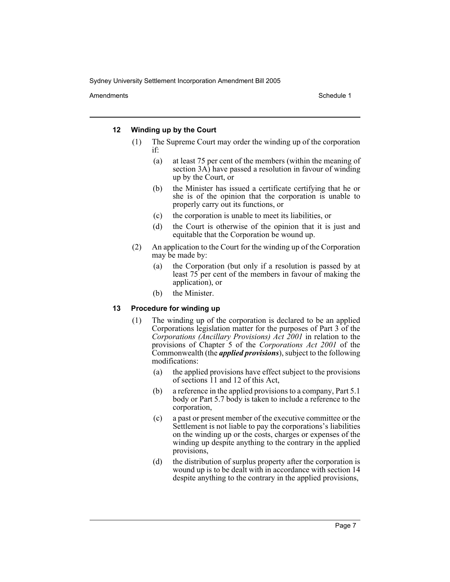Amendments **Schedule 1** and the set of the set of the set of the set of the set of the set of the set of the set of the set of the set of the set of the set of the set of the set of the set of the set of the set of the set

#### **12 Winding up by the Court**

- (1) The Supreme Court may order the winding up of the corporation if:
	- (a) at least 75 per cent of the members (within the meaning of section 3A) have passed a resolution in favour of winding up by the Court, or
	- (b) the Minister has issued a certificate certifying that he or she is of the opinion that the corporation is unable to properly carry out its functions, or
	- (c) the corporation is unable to meet its liabilities, or
	- (d) the Court is otherwise of the opinion that it is just and equitable that the Corporation be wound up.
- (2) An application to the Court for the winding up of the Corporation may be made by:
	- (a) the Corporation (but only if a resolution is passed by at least 75 per cent of the members in favour of making the application), or
	- (b) the Minister.

#### **13 Procedure for winding up**

- (1) The winding up of the corporation is declared to be an applied Corporations legislation matter for the purposes of Part 3 of the *Corporations (Ancillary Provisions) Act 2001* in relation to the provisions of Chapter 5 of the *Corporations Act 2001* of the Commonwealth (the *applied provisions*), subject to the following modifications:
	- (a) the applied provisions have effect subject to the provisions of sections 11 and 12 of this Act,
	- (b) a reference in the applied provisions to a company, Part 5.1 body or Part 5.7 body is taken to include a reference to the corporation,
	- (c) a past or present member of the executive committee or the Settlement is not liable to pay the corporations's liabilities on the winding up or the costs, charges or expenses of the winding up despite anything to the contrary in the applied provisions,
	- (d) the distribution of surplus property after the corporation is wound up is to be dealt with in accordance with section 14 despite anything to the contrary in the applied provisions,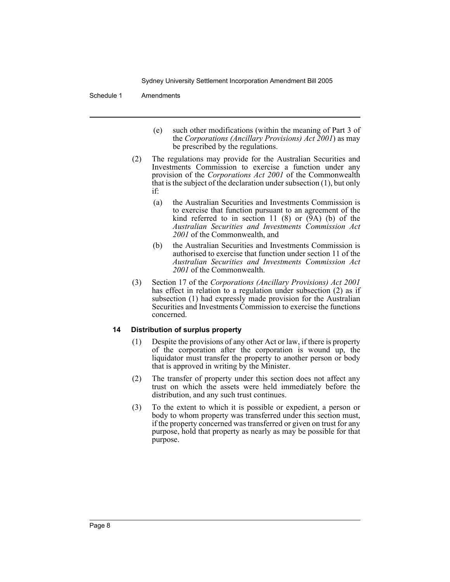#### Schedule 1 Amendments

- (e) such other modifications (within the meaning of Part 3 of the *Corporations (Ancillary Provisions) Act 2001*) as may be prescribed by the regulations.
- (2) The regulations may provide for the Australian Securities and Investments Commission to exercise a function under any provision of the *Corporations Act 2001* of the Commonwealth that is the subject of the declaration under subsection  $(1)$ , but only if:
	- (a) the Australian Securities and Investments Commission is to exercise that function pursuant to an agreement of the kind referred to in section 11 (8) or (9A) (b) of the *Australian Securities and Investments Commission Act 2001* of the Commonwealth, and
	- (b) the Australian Securities and Investments Commission is authorised to exercise that function under section 11 of the *Australian Securities and Investments Commission Act 2001* of the Commonwealth.
- (3) Section 17 of the *Corporations (Ancillary Provisions) Act 2001* has effect in relation to a regulation under subsection (2) as if subsection (1) had expressly made provision for the Australian Securities and Investments Commission to exercise the functions concerned.

#### **14 Distribution of surplus property**

- (1) Despite the provisions of any other Act or law, if there is property of the corporation after the corporation is wound up, the liquidator must transfer the property to another person or body that is approved in writing by the Minister.
- (2) The transfer of property under this section does not affect any trust on which the assets were held immediately before the distribution, and any such trust continues.
- (3) To the extent to which it is possible or expedient, a person or body to whom property was transferred under this section must, if the property concerned was transferred or given on trust for any purpose, hold that property as nearly as may be possible for that purpose.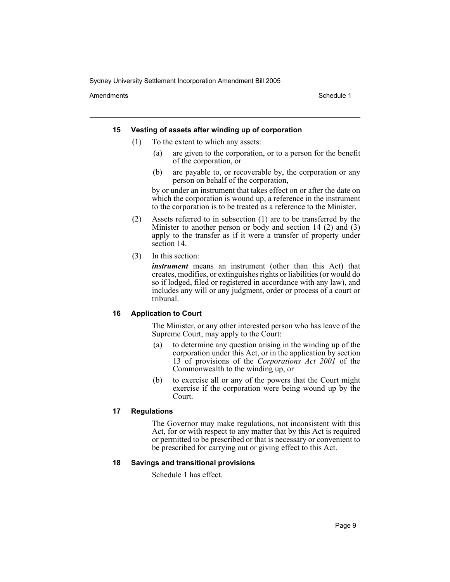Amendments **Schedule 1** and the set of the set of the set of the set of the set of the set of the set of the set of the set of the set of the set of the set of the set of the set of the set of the set of the set of the set

#### **15 Vesting of assets after winding up of corporation**

- (1) To the extent to which any assets:
	- (a) are given to the corporation, or to a person for the benefit of the corporation, or
	- (b) are payable to, or recoverable by, the corporation or any person on behalf of the corporation,

by or under an instrument that takes effect on or after the date on which the corporation is wound up, a reference in the instrument to the corporation is to be treated as a reference to the Minister.

- (2) Assets referred to in subsection (1) are to be transferred by the Minister to another person or body and section 14 (2) and (3) apply to the transfer as if it were a transfer of property under section 14.
- (3) In this section:

*instrument* means an instrument (other than this Act) that creates, modifies, or extinguishes rights or liabilities (or would do so if lodged, filed or registered in accordance with any law), and includes any will or any judgment, order or process of a court or tribunal.

#### **16 Application to Court**

The Minister, or any other interested person who has leave of the Supreme Court, may apply to the Court:

- (a) to determine any question arising in the winding up of the corporation under this Act, or in the application by section 13 of provisions of the *Corporations Act 2001* of the Commonwealth to the winding up, or
- (b) to exercise all or any of the powers that the Court might exercise if the corporation were being wound up by the Court.

#### **17 Regulations**

The Governor may make regulations, not inconsistent with this Act, for or with respect to any matter that by this Act is required or permitted to be prescribed or that is necessary or convenient to be prescribed for carrying out or giving effect to this Act.

#### **18 Savings and transitional provisions**

Schedule 1 has effect.